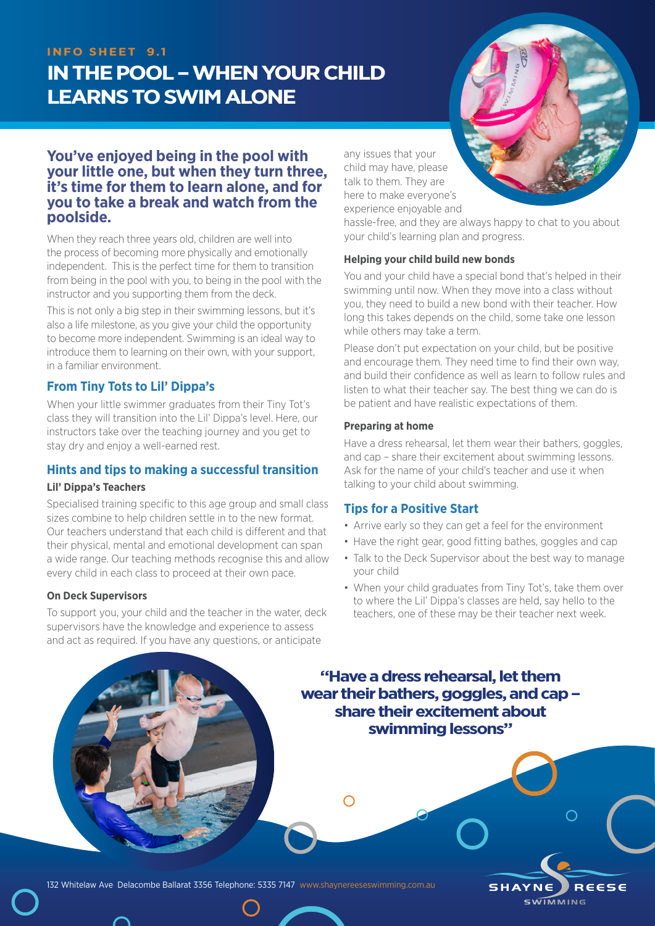## **INFO SHEET 9.1**

# **IN THE POOL – WHEN YOUR CHILD LEARNS TO SWIM ALONE**



## **You've enjoyed being in the pool with your little one, but when they turn three, it's time for them to learn alone, and for you to take a break and watch from the poolside.**

When they reach three years old, children are well into the process of becoming more physically and emotionally independent. This is the perfect time for them to transition from being in the pool with you, to being in the pool with the instructor and you supporting them from the deck.

This is not only a big step in their swimming lessons, but it's also a life milestone, as you give your child the opportunity to become more independent. Swimming is an ideal way to introduce them to learning on their own, with your support, in a familiar environment.

## **From Tiny Tots to Lil' Dippa's**

When your little swimmer graduates from their Tiny Tot's class they will transition into the Lil' Dippa's level. Here, our instructors take over the teaching journey and you get to stay dry and enjoy a well-earned rest.

## **Hints and tips to making a successful transition**

#### **Lil' Dippa's Teachers**

Specialised training specific to this age group and small class sizes combine to help children settle in to the new format. Our teachers understand that each child is different and that their physical, mental and emotional development can span a wide range. Our teaching methods recognise this and allow every child in each class to proceed at their own pace.

#### **On Deck Supervisors**

To support you, your child and the teacher in the water, deck supervisors have the knowledge and experience to assess and act as required. If you have any questions, or anticipate

any issues that your child may have, please talk to them. They are here to make everyone's experience enjoyable and

hassle-free, and they are always happy to chat to you about your child's learning plan and progress.

#### **Helping your child build new bonds**

You and your child have a special bond that's helped in their swimming until now. When they move into a class without you, they need to build a new bond with their teacher. How long this takes depends on the child, some take one lesson while others may take a term.

Please don't put expectation on your child, but be positive and encourage them. They need time to find their own way, and build their confidence as well as learn to follow rules and listen to what their teacher say. The best thing we can do is be patient and have realistic expectations of them.

#### **Preparing at home**

Have a dress rehearsal, let them wear their bathers, goggles, and cap – share their excitement about swimming lessons. Ask for the name of your child's teacher and use it when talking to your child about swimming.

## **Tips for a Positive Start**

- Arrive early so they can get a feel for the environment
- Have the right gear, good fitting bathes, goggles and cap
- Talk to the Deck Supervisor about the best way to manage your child
- When your child graduates from Tiny Tot's, take them over to where the Lil' Dippa's classes are held, say hello to the teachers, one of these may be their teacher next week.

**SHAYNE** 

**SWIMMING** 

REESE

**"Have a dress rehearsal, let them wear their bathers, goggles, and cap – share their excitement about swimming lessons"**

 $\bigcap$